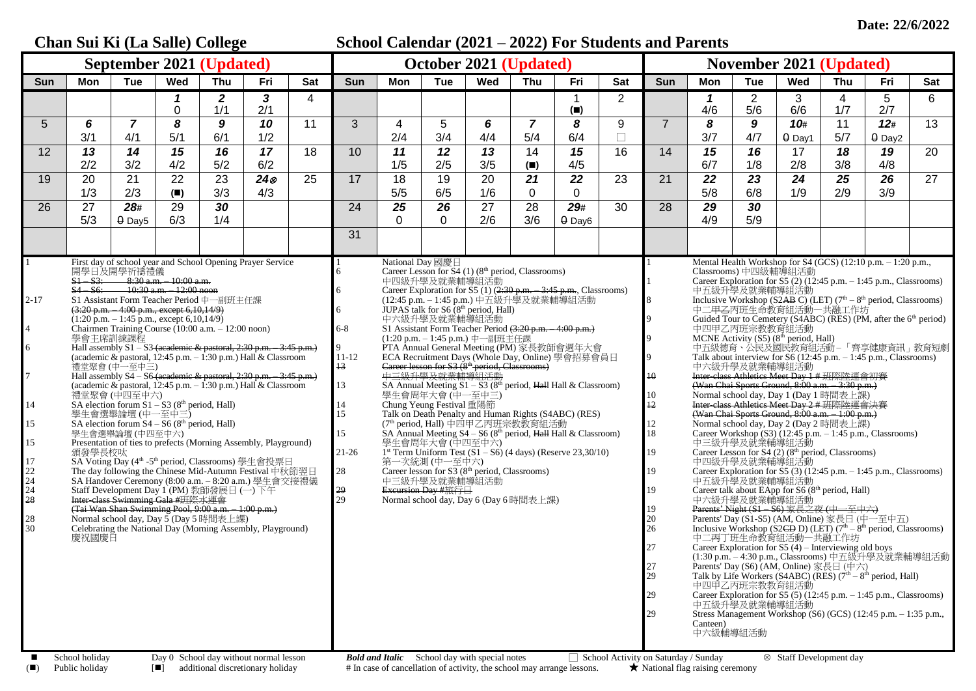## **Chan Sui Ki (La Salle) College School Calendar (2021 – 2022) For Students and Parents September 2021 (Updated) October 2021 (Updated) November 2021 (Updated)** Sun | Mon | Tue | Wed | Thu | Fri | Sat | Sun | Mon | Tue | Wed | Thu | Fri | Sat | Sun | Mon | Tue | Wed | Thu | Fri | Sat *1 2 3* 4 1 2 *1* 2 3 4 5 6 0 1/1 2/1 **(**◼**)** 4/6 5/6 6/6 1/7 2/7 5 *6 7 8 9 10* 11 3 4 5 *6 7 8* 9 7 *8 9 10***#** 11 *12***#** 13 3/1 | 4/1 | 5/1 | 6/1 | 1/2 | | 2/4 | 3/4 | 4/4 | 5/4 | 6/4 | □ | | 3/7 | 4/7 |θDay1 | 5/7 |θDay2 12 *13 14 15 16 17* 18 10 *11 12 13* 14 *15* 16 14 *15 16* 17 *18 19* 20 2/2 3/2 4/2 5/2 6/2 1/5 2/5 3/5 **(**◼**)** 4/5 6/7 1/8 2/8 3/8 4/8 19 20 21 22 23 *24* 25 17 18 19 20 *21 22* 23 21 *22 23 24 25 26* 27 1/3 | 2/3 | (■) | 3/3 | 4/3 | | 5/5 | 6/5 | 1/6 | 0 | 0 | | | 5/8 | 6/8 | 1/9 | 2/9 | 3/9 26 27 *28#* 29 *30* 24 *25 26* 27 28 *29#* 30 28 *29 30* 5/3 | 0 Day5 | 6/3 | 1/4 | | | | 0 | 2/6 | 3/6 | 0 Day6 | | | 4/9 | 5/9 31 1 2-17 4 6 7 14 15 15 17 22  $\frac{1}{24}$ 24  $\bar{28}$ 28 30 First day of school year and School Opening Prayer Service 開學日及開學祈禱禮儀<br><del>S1 – S3: – – 8:30 a.m. – 10:00 a.m.</del> S1 – S3: 8:30 a.m. – 10:00 a.m. S4 – S6: 10:30 a.m. – 12:00 noon S1 Assistant Form Teacher Period 中一副班主任課  $(3:20 \text{ p.m.} - 4:00 \text{ p.m.}, \text{except } 6,10,14/9)$  $(1:20 \text{ p.m.} - 1:45 \text{ p.m.}, \text{except } 6,10,14/9)$ Chairmen Training Course (10:00 a.m. – 12:00 noon) 學會主席訓練課程 Hall assembly  $S1 - S3$  (academic & pastoral, 2:30 p.m. – 3:45 p.m.) (academic  $\&$  pastoral,  $12:45$  p.m.  $-1:30$  p.m.) Hall  $\&$  Classroom 禮堂聚會 (中一至中三) Hall assembly S4 – S6 (academic & pastoral, 2:30 p.m. – 3:45 p.m.) (academic & pastoral,  $12:45$  p.m.  $-1:30$  p.m.) Hall & Classroom 禮堂聚會 (中四至中六)<br>SA election forum S1 – S3 (8<sup>th</sup> period, Hall) 學生會選舉論壇 (中一至中三) SA election forum  $S4 - S6$  ( $8<sup>th</sup>$  period, Hall) 學生會選舉論壇 (中四至中六) Presentation of ties to prefects (Morning Assembly, Playground) 頒發學長校呔 SA Voting Day (4<sup>th</sup> -5<sup>th</sup> period, Classrooms) 學生會投票日 The day following the Chinese Mid-Autumn Festival 中秋節翌日 SA Handover Ceremony (8:00 a.m. – 8:20 a.m.) 學生會交接禮儀 Staff Development Day 1 (PM) 教師發展日 (一) 下午 Inter-class Swimming Gala #班際水運會 (Tai Wan Shan Swimming Pool, 9:00 a.m. – 1:00 p.m.) Normal school day, Day 5 (Day 5 時間表上課) Celebrating the National Day (Morning Assembly, Playground) 慶祝國慶日 1 6 6 6 6-8 9 11-12 13 13 14 15 15 21-26 28 29  $\frac{2}{29}$ National Day 國慶日 Career Lesson for  $S4$  (1) (8<sup>th</sup> period, Classrooms) 中四級升學及就業輔導組活動 Career Exploration for S5 (1) (2:30 p.m. - 3:45 p.m., Classrooms) (12:45 p.m. – 1:45 p.m.) 中五級升學及就業輔導組活動 JUPAS talk for  $S6(8<sup>th</sup> period, Hall)$ 中六級升學及就業輔導組活動 S1 Assistant Form Teacher Period (3:20 p.m. – 4:00 p.m.) (1:20 p.m. – 1:45 p.m.) 中一副班主任課 PTA Annual General Meeting (PM) 家長教師會週年大會 ECA Recruitment Days (Whole Day, Online) 學會招募會員日 Career lesson for S3 (8<sup>th</sup> period, Classrooms) 中三級升學及就業輔導組活動 SA Annual Meeting  $S1 - S3$  (8<sup>th</sup> period, Hall Hall & Classroom) 學生會周年大會 (中一至中三) Chung Yeung Festival 重陽節 Talk on Death Penalty and Human Rights (S4ABC) (RES) (7th period, Hall) 中四甲乙丙班宗教教育組活動 SA Annual Meeting  $S4 - S6 (8<sup>th</sup> period, *Hall* Hall & Classroom)$ 學生會周年大會 (中四至中六) 1 st Term Uniform Test (S1 – S6) (4 days) (Reserve 23,30/10) 第一次統測 (中一至中六) Career lesson for S3 (8<sup>th</sup> period, Classrooms) 中三級升學及就業輔導組活動 Excursion Day #旅行日 Normal school day,  $\overrightarrow{Day}$  6 (Day 6 時間表上課) 1 1 8  $\overline{Q}$  $\overline{Q}$  $\alpha$ 10 10 12 12 18 19 19 19 19 20 26 27 27 29 29 29 Mental Health Workshop for S4 (GCS) (12:10 p.m. – 1:20 p.m., Classrooms) 中四級輔導組活動 Career Exploration for S5  $(2)$  (12:45 p.m.  $-$  1:45 p.m., Classrooms) 中五級升學及就業輔導組活動<br>Inclusive Workshop (S2<del>AB</del> C) (LET) (7<sup>th</sup> – 8<sup>th</sup> period, Classrooms) 中二甲<del>乙</del>丙班生命教育組活動一共融工作坊<br>Guided Tour to Cemetery (S4ABC) (RES) (PM, after the 6<sup>th</sup> period) 中四甲乙丙班宗教教育組活動 MCNE Activity  $(S5)$   $(8<sup>th</sup> period, Hall)$ 中五級德育、公民及國民教育組活動– 「齊享健康資訊」教育短劇 Talk about interview for S6  $(12:45 \text{ p.m.} - 1:45 \text{ p.m.}, \text{Class}$ 中六級升學及就業輔導組活動 Inter-class Athletics Meet Day 1 # 班際陸運會初賽 (Wan Chai Sports Ground,  $8:00$  a.m.  $-3:30$  p.m.) Normal school day, Day 1 (Day 1 時間表上課) Inter-class Athletics Meet Day 2 # 班際陸運會決賽 (Wan Chai Sports Ground, 8:00 a.m. – 1:00 p.m.) Normal school day, Day 2 (Day 2 時間表上課) Career Workshop  $(S3)$  (12:45 p.m.  $-1:45$  p.m., Classrooms) 中三級升學及就業輔導組活動 Career Lesson for  $S4$  (2) ( $8<sup>th</sup>$  period, Classrooms) 中四級升學及就業輔導組活動 Career Exploration for  $\overline{S5}$  (3) (12:45 p.m. – 1:45 p.m., Classrooms) 中五級升學及就業輔導組活動 Career talk about EApp for  $S6(8<sup>th</sup>$  period, Hall) 中六級升學及就業輔導組活動 Parents' Night (S1 – S6) 家長之夜 (中一至中六) Parents' Day (S1-S5) (AM, Online) 家長日 (中一至中五) Inclusive Workshop (S2CD D) (LET)  $(7<sup>th</sup> - 8<sup>th</sup>$  period, Classrooms) 中二丙丁班生命教育組活動—共融工作坊 Career Exploration for  $S5(4)$  – Interviewing old boys (1:30 p.m. – 4:30 p.m., Classrooms) 中五級升學及就業輔導組活動 Parents' Day (S6) (AM, Online) 家長日 (中六) Talk by Life Workers (S4ABC) (RES)  $(7<sup>th</sup> - 8<sup>th</sup>$  period, Hall) 中四甲乙丙班宗教教育組活動 Career Exploration for S5  $(5)$  (12:45 p.m. – 1:45 p.m., Classrooms) 中五級升學及就業輔導組活動 Stress Management Workshop (S6) (GCS) (12:45 p.m.  $-1:35$  p.m., Canteen) ー<br>中六級輔道組活動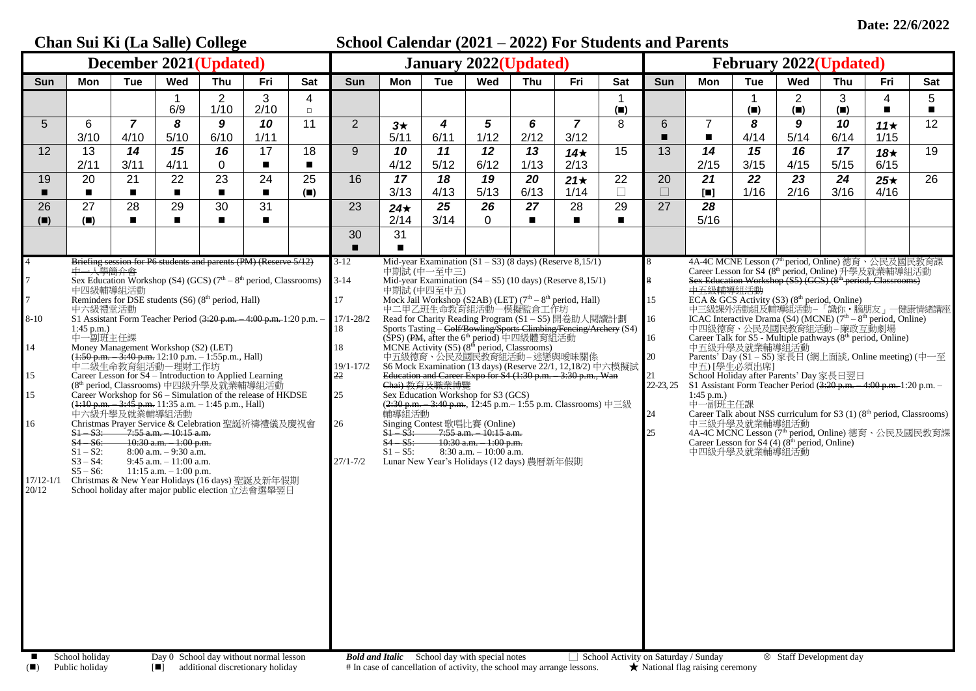|                                                                               | Chan Sui Ki (La Salle) College<br>School Calendar (2021 – 2022) For Students and Parents                                                               |                        |                                                                                                                                                                                                                                                                                                                                                                                                                                                                                                                                                                               |                        |                                                                                                                                                                                                                                                                                                                                                                                                                                                                                      |                              |                                                                                                                    |                                                    |                            |                                                                                                                                                                                                                                              |            |                                                                                                                                                                                                                                                                                                                                                                                                                                                                                                                                                                                                                                                                                                                                                                       |                                      |                                               |                                                                                                                                                                                                                                                                       |                  |                                    |                                                                                                          |                                                                                                                                                                                                                                                                                                                                                                                                                                                                                                                                                                                                                                                               |                                   |
|-------------------------------------------------------------------------------|--------------------------------------------------------------------------------------------------------------------------------------------------------|------------------------|-------------------------------------------------------------------------------------------------------------------------------------------------------------------------------------------------------------------------------------------------------------------------------------------------------------------------------------------------------------------------------------------------------------------------------------------------------------------------------------------------------------------------------------------------------------------------------|------------------------|--------------------------------------------------------------------------------------------------------------------------------------------------------------------------------------------------------------------------------------------------------------------------------------------------------------------------------------------------------------------------------------------------------------------------------------------------------------------------------------|------------------------------|--------------------------------------------------------------------------------------------------------------------|----------------------------------------------------|----------------------------|----------------------------------------------------------------------------------------------------------------------------------------------------------------------------------------------------------------------------------------------|------------|-----------------------------------------------------------------------------------------------------------------------------------------------------------------------------------------------------------------------------------------------------------------------------------------------------------------------------------------------------------------------------------------------------------------------------------------------------------------------------------------------------------------------------------------------------------------------------------------------------------------------------------------------------------------------------------------------------------------------------------------------------------------------|--------------------------------------|-----------------------------------------------|-----------------------------------------------------------------------------------------------------------------------------------------------------------------------------------------------------------------------------------------------------------------------|------------------|------------------------------------|----------------------------------------------------------------------------------------------------------|---------------------------------------------------------------------------------------------------------------------------------------------------------------------------------------------------------------------------------------------------------------------------------------------------------------------------------------------------------------------------------------------------------------------------------------------------------------------------------------------------------------------------------------------------------------------------------------------------------------------------------------------------------------|-----------------------------------|
| <b>December 2021(Updated)</b>                                                 |                                                                                                                                                        |                        |                                                                                                                                                                                                                                                                                                                                                                                                                                                                                                                                                                               |                        |                                                                                                                                                                                                                                                                                                                                                                                                                                                                                      | <b>January 2022(Updated)</b> |                                                                                                                    |                                                    |                            |                                                                                                                                                                                                                                              |            | <b>February 2022(Updated)</b>                                                                                                                                                                                                                                                                                                                                                                                                                                                                                                                                                                                                                                                                                                                                         |                                      |                                               |                                                                                                                                                                                                                                                                       |                  |                                    |                                                                                                          |                                                                                                                                                                                                                                                                                                                                                                                                                                                                                                                                                                                                                                                               |                                   |
| Sun                                                                           | Mon                                                                                                                                                    | <b>Tue</b>             | Wed                                                                                                                                                                                                                                                                                                                                                                                                                                                                                                                                                                           | Thu                    | Fri                                                                                                                                                                                                                                                                                                                                                                                                                                                                                  | Sat                          | <b>Sun</b>                                                                                                         | Mon                                                | <b>Tue</b>                 | Wed                                                                                                                                                                                                                                          | Thu        | Fri                                                                                                                                                                                                                                                                                                                                                                                                                                                                                                                                                                                                                                                                                                                                                                   | <b>Sat</b>                           | Sun                                           | Mon                                                                                                                                                                                                                                                                   | Tue              | Wed                                | Thu                                                                                                      | Fri                                                                                                                                                                                                                                                                                                                                                                                                                                                                                                                                                                                                                                                           | Sat                               |
|                                                                               |                                                                                                                                                        |                        | 6/9                                                                                                                                                                                                                                                                                                                                                                                                                                                                                                                                                                           | $\overline{2}$<br>1/10 | 3<br>2/10                                                                                                                                                                                                                                                                                                                                                                                                                                                                            | 4<br>$\Box$                  |                                                                                                                    |                                                    |                            |                                                                                                                                                                                                                                              |            |                                                                                                                                                                                                                                                                                                                                                                                                                                                                                                                                                                                                                                                                                                                                                                       | $(\blacksquare)$                     |                                               |                                                                                                                                                                                                                                                                       | $(\blacksquare)$ | $\overline{2}$<br>$(\blacksquare)$ | 3<br>$(\blacksquare)$                                                                                    | 4<br>$\blacksquare$                                                                                                                                                                                                                                                                                                                                                                                                                                                                                                                                                                                                                                           | $5\overline{)}$<br>$\blacksquare$ |
| $\overline{5}$                                                                | 6<br>3/10                                                                                                                                              | $\overline{7}$<br>4/10 | 8<br>5/10                                                                                                                                                                                                                                                                                                                                                                                                                                                                                                                                                                     | 9<br>6/10              | 10<br>1/11                                                                                                                                                                                                                                                                                                                                                                                                                                                                           | 11                           | $\overline{2}$                                                                                                     | $3\star$<br>5/11                                   | 4<br>6/11                  | $\mathbf{5}$<br>1/12                                                                                                                                                                                                                         | 6<br>2/12  | $\overline{7}$<br>3/12                                                                                                                                                                                                                                                                                                                                                                                                                                                                                                                                                                                                                                                                                                                                                | 8                                    | 6                                             | $\overline{7}$<br>$\blacksquare$                                                                                                                                                                                                                                      | 8<br>4/14        | 9<br>5/14                          | 10<br>6/14                                                                                               | $11\star$<br>1/15                                                                                                                                                                                                                                                                                                                                                                                                                                                                                                                                                                                                                                             | 12                                |
| 12                                                                            | 13                                                                                                                                                     | 14                     | 15                                                                                                                                                                                                                                                                                                                                                                                                                                                                                                                                                                            | 16                     | 17                                                                                                                                                                                                                                                                                                                                                                                                                                                                                   | 18                           | 9                                                                                                                  | 10                                                 | 11                         | 12                                                                                                                                                                                                                                           | 13         | 14 $\star$                                                                                                                                                                                                                                                                                                                                                                                                                                                                                                                                                                                                                                                                                                                                                            | 15                                   | 13                                            | 14                                                                                                                                                                                                                                                                    | 15               | 16                                 | 17                                                                                                       | $18*$                                                                                                                                                                                                                                                                                                                                                                                                                                                                                                                                                                                                                                                         | 19                                |
| 19                                                                            | 2/11<br>20                                                                                                                                             | 3/11<br>21             | 4/11<br>22                                                                                                                                                                                                                                                                                                                                                                                                                                                                                                                                                                    | 0<br>23                | $\blacksquare$<br>24                                                                                                                                                                                                                                                                                                                                                                                                                                                                 | $\blacksquare$<br>25         | 16                                                                                                                 | 4/12<br>17                                         | 5/12<br>18                 | 6/12<br>19                                                                                                                                                                                                                                   | 1/13<br>20 | 2/13<br>$21\star$                                                                                                                                                                                                                                                                                                                                                                                                                                                                                                                                                                                                                                                                                                                                                     | 22                                   | 20                                            | 2/15<br>21                                                                                                                                                                                                                                                            | 3/15<br>22       | 4/15<br>23                         | 5/15<br>24                                                                                               | 6/15<br>$25\star$                                                                                                                                                                                                                                                                                                                                                                                                                                                                                                                                                                                                                                             | 26                                |
| п                                                                             | $\blacksquare$                                                                                                                                         | $\blacksquare$         | $\blacksquare$                                                                                                                                                                                                                                                                                                                                                                                                                                                                                                                                                                |                        | $\blacksquare$                                                                                                                                                                                                                                                                                                                                                                                                                                                                       | $(\blacksquare)$             |                                                                                                                    | 3/13                                               | 4/13                       | 5/13                                                                                                                                                                                                                                         | 6/13       | 1/14                                                                                                                                                                                                                                                                                                                                                                                                                                                                                                                                                                                                                                                                                                                                                                  | П                                    | $\Box$                                        | $\begin{bmatrix} \blacksquare \\ \blacksquare \end{bmatrix}$                                                                                                                                                                                                          | 1/16             | 2/16                               | 3/16                                                                                                     | 4/16                                                                                                                                                                                                                                                                                                                                                                                                                                                                                                                                                                                                                                                          |                                   |
| 26<br>(                                                                       | 27<br>(                                                                                                                                                | 28<br>$\blacksquare$   | 29<br>$\blacksquare$                                                                                                                                                                                                                                                                                                                                                                                                                                                                                                                                                          | 30                     | 31<br>$\blacksquare$                                                                                                                                                                                                                                                                                                                                                                                                                                                                 |                              | 23                                                                                                                 | $24\star$<br>2/14                                  | 25<br>3/14                 | 26<br>$\mathbf 0$                                                                                                                                                                                                                            | 27         | 28<br>$\blacksquare$                                                                                                                                                                                                                                                                                                                                                                                                                                                                                                                                                                                                                                                                                                                                                  | 29                                   | 27                                            | 28<br>5/16                                                                                                                                                                                                                                                            |                  |                                    |                                                                                                          |                                                                                                                                                                                                                                                                                                                                                                                                                                                                                                                                                                                                                                                               |                                   |
|                                                                               |                                                                                                                                                        |                        |                                                                                                                                                                                                                                                                                                                                                                                                                                                                                                                                                                               |                        |                                                                                                                                                                                                                                                                                                                                                                                                                                                                                      |                              | 30                                                                                                                 | 31                                                 |                            |                                                                                                                                                                                                                                              |            |                                                                                                                                                                                                                                                                                                                                                                                                                                                                                                                                                                                                                                                                                                                                                                       |                                      |                                               |                                                                                                                                                                                                                                                                       |                  |                                    |                                                                                                          |                                                                                                                                                                                                                                                                                                                                                                                                                                                                                                                                                                                                                                                               |                                   |
| 7<br>$\overline{7}$<br>$8 - 10$<br>14<br>15<br>15<br>16<br>17/12-1/1<br>20/12 | 中一人學簡介會<br>中四級輔導組活動<br>中六級禮堂活動<br>$1:45$ p.m.)<br>中一副班主任課<br>$S1 - S3$ :<br>$S4 - S6$ :<br>$S1 - S2$ :<br>$S3 - S4$ :<br>$S5 - S6$ :<br>School holiday |                        | Reminders for DSE students (S6) (8 <sup>th</sup> period, Hall)<br>Money Management Workshop (S2) (LET)<br>$(1.50 \text{ p.m.} - 3.40 \text{ p.m. } 12.10 \text{ p.m.} - 1.55 \text{ p.m. } \text{Hall})$<br>中二級生命教育組活動一理財工作坊<br>Career Lesson for S4 - Introduction to Applied Learning<br>(8 <sup>th</sup> period, Classrooms) 中四級升學及就業輔導組活動<br>( <del>1:10 p.m. – 3:45 p.m.</del> 11:35 a.m. – 1:45 p.m., Hall)<br>中六級升學及就業輔導組活動<br>$-7:55$ a.m. $-10:15$ a.m.<br>10:30 a.m. - 1:00 p.m.<br>$8:00$ a.m. $-9:30$ a.m.<br>9:45 a.m. - 11:00 a.m.<br>$11:15$ a.m. $-1:00$ p.m. |                        | Briefing session for P6 students and parents (PM) (Reserve 5/12)<br>Sex Education Workshop (S4) (GCS) $(7th – 8th$ period, Classrooms)<br>S1 Assistant Form Teacher Period (3:20 p.m. - 4:00 p.m. 1:20 p.m. -<br>Career Workshop for S6 - Simulation of the release of HKDSE<br>Christmas Prayer Service & Celebration 聖誕祈禱禮儀及慶祝會<br>Christmas & New Year Holidays (16 days) 聖誕及新年假期<br>School holiday after major public election 立法會選舉翌日<br>Day 0 School day without normal lesson |                              | $3-12$<br>$3-14$<br>17<br>$17/1 - 28/2$<br>18<br>19/1-17/2<br>22<br>25<br>26<br>27/1-7/2<br><b>Bold and Italic</b> | 輔導組活動<br>$S1 - S3$ :<br>$S4 - S5$ :<br>$S1 - S5$ : | 中期試 (中一至中三)<br>中期試 (中四至中五) | Sex Education Workshop for S3 (GCS)<br>Singing Contest 歌唱比賽 (Online)<br>$-7:55$ a.m. $-10:15$ a.m.<br>$-10:30$ a.m. $-1:00$ p.m.<br>$8:30$ a.m. $-10:00$ a.m.<br>Lunar New Year's Holidays (12 days) 農曆新年假期<br>School day with special notes |            | Mid-year Examination $(S1 - S3)$ (8 days) (Reserve 8,15/1)<br>Mid-year Examination $(S4 - S5)$ (10 days) (Reserve 8,15/1)<br>Mock Jail Workshop (S2AB) (LET) (7 <sup>th</sup> – 8 <sup>th</sup> period, Hall)<br>中二甲乙班生命教育組活動一模擬監倉工作坊<br>Read for Charity Reading Program (S1-S5) 開卷助人閱讀計劃<br>Exports Tasting – Golf Bowling Sports Climbing Fencing Archery (S4)<br>(SPS) (PM, after the 6 <sup>th</sup> period) 中四級體育組活動<br>MCNE Activity (S5) (8 <sup>th</sup> period, Classrooms)<br>中五級德育、公民及國民教育組活動-迷戀與曖昧關係<br>S6 Mock Examination (13 days) (Reserve 22/1, 12,18/2) 中六模擬試<br>Education and Career Expo for S4 (1:30 p.m. - 3:30 p.m., Wan<br>Chai) 教育及職業博覽<br>$(2:30 \text{ p.m.} - 3:40 \text{ p.m.}, 12:45 \text{ p.m.} - 1:55 \text{ p.m.}$ Classrooms) 中三級 | School Activity on Saturday / Sunday | 15<br>16<br>16<br>20<br>22-23, 25<br>24<br>25 | 中五級輔導組活動<br>中五級升學及就業輔導組活動<br>中五)[學生必須出席]<br>S1 Assistant Form Teacher Period $(3:20 \text{ p.m.} - 4:00 \text{ p.m.} - 1:20 \text{ p.m.} -$<br>$1:45$ p.m.)<br>中一副班主任課<br>中三級升學及就業輔導組活動<br>Career Lesson for S4 (4) (8 <sup>th</sup> period, Online)<br>中四級升學及就業輔導組活動 |                  |                                    | 中四級德育、公民及國民教育組活動-廉政互動劇場<br>School Holiday after Parents' Day 家長日翌日<br><sup>⊗</sup> Staff Development day | 4A-4C MCNE Lesson (7th period, Online) 德育、公民及國民教育課<br>Career Lesson for S4 (8 <sup>th</sup> period, Online) 升學及就業輔導組活動<br>Sex Education Workshop (S5) (GCS) (8 <sup>th</sup> period, Classrooms)<br>ECA & GCS Activity (S3) (8 <sup>th</sup> period, Online)<br>中三級課外活動組及輔導組活動—「識你・腦朋友」—健康情緒講座<br>ICAC Interactive Drama (S4) (MCNE) (7 <sup>th</sup> – 8 <sup>th</sup> period, Online)<br>Career Talk for S5 - Multiple pathways (8 <sup>th</sup> period, Online)<br>Parents' Day (S1-S5) 家長日 (網上面談, Online meeting) (中一至<br>Career Talk about NSS curriculum for S3 $(1)$ ( $8th$ period, Classrooms)<br>4A-4C MCNC Lesson (7th period, Online) 德育、公民及國民教育課 |                                   |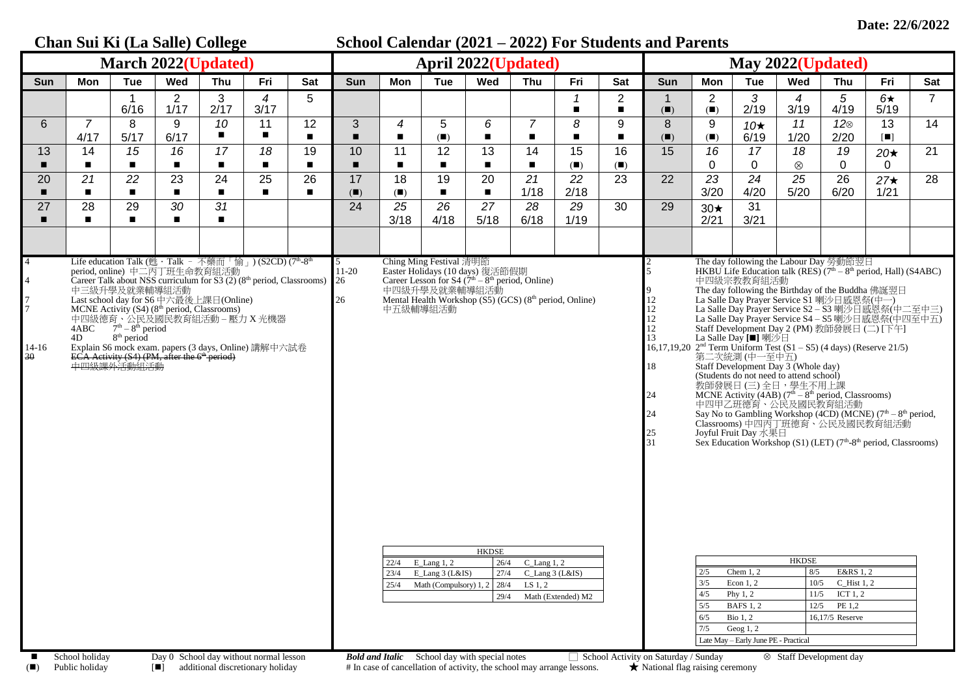| Chan Sui Ki (La Salle) College                                                                          |                        |                                                                                                                                         |                        |                                                                                                                                                                                                                                                                                                                                                                                                                                                    |                        | School Calendar (2021 – 2022) For Students and Parents |                |                      |                                                                     |                                                                                                                                                                                                                                                                                                                                                                                  |                                                           |                     |                                  |                                                                  |                                        |                                                                                                                                                                                                                                                                                                                                                                                                                                                                                                                                                                                                                                                                                                                                                                                                                                                                                                                                                                                                                                                                                               |                                                           |                                                                                        |                          |                |
|---------------------------------------------------------------------------------------------------------|------------------------|-----------------------------------------------------------------------------------------------------------------------------------------|------------------------|----------------------------------------------------------------------------------------------------------------------------------------------------------------------------------------------------------------------------------------------------------------------------------------------------------------------------------------------------------------------------------------------------------------------------------------------------|------------------------|--------------------------------------------------------|----------------|----------------------|---------------------------------------------------------------------|----------------------------------------------------------------------------------------------------------------------------------------------------------------------------------------------------------------------------------------------------------------------------------------------------------------------------------------------------------------------------------|-----------------------------------------------------------|---------------------|----------------------------------|------------------------------------------------------------------|----------------------------------------|-----------------------------------------------------------------------------------------------------------------------------------------------------------------------------------------------------------------------------------------------------------------------------------------------------------------------------------------------------------------------------------------------------------------------------------------------------------------------------------------------------------------------------------------------------------------------------------------------------------------------------------------------------------------------------------------------------------------------------------------------------------------------------------------------------------------------------------------------------------------------------------------------------------------------------------------------------------------------------------------------------------------------------------------------------------------------------------------------|-----------------------------------------------------------|----------------------------------------------------------------------------------------|--------------------------|----------------|
| <b>March 2022(Updated)</b>                                                                              |                        |                                                                                                                                         |                        |                                                                                                                                                                                                                                                                                                                                                                                                                                                    |                        | <b>April 2022(Updated)</b>                             |                |                      |                                                                     |                                                                                                                                                                                                                                                                                                                                                                                  |                                                           | May 2022(Updated)   |                                  |                                                                  |                                        |                                                                                                                                                                                                                                                                                                                                                                                                                                                                                                                                                                                                                                                                                                                                                                                                                                                                                                                                                                                                                                                                                               |                                                           |                                                                                        |                          |                |
| Sun                                                                                                     | Mon                    | <b>Tue</b>                                                                                                                              | Wed                    | Thu                                                                                                                                                                                                                                                                                                                                                                                                                                                | Fri                    | Sat                                                    | <b>Sun</b>     | Mon                  | <b>Tue</b>                                                          | Wed                                                                                                                                                                                                                                                                                                                                                                              | Thu                                                       | Fri                 | Sat                              | <b>Sun</b>                                                       | Mon                                    | <b>Tue</b>                                                                                                                                                                                                                                                                                                                                                                                                                                                                                                                                                                                                                                                                                                                                                                                                                                                                                                                                                                                                                                                                                    | Wed                                                       | Thu                                                                                    | Fri                      | Sat            |
|                                                                                                         |                        | 6/16                                                                                                                                    | $\overline{2}$<br>1/17 | 3<br>2/17                                                                                                                                                                                                                                                                                                                                                                                                                                          | $\overline{4}$<br>3/17 | 5                                                      |                |                      |                                                                     |                                                                                                                                                                                                                                                                                                                                                                                  |                                                           | $\blacksquare$      | $\overline{2}$<br>$\blacksquare$ | (                                                                | $\overline{2}$<br>(                    | 3<br>2/19                                                                                                                                                                                                                                                                                                                                                                                                                                                                                                                                                                                                                                                                                                                                                                                                                                                                                                                                                                                                                                                                                     | 4<br>3/19                                                 | 5<br>4/19                                                                              | $6\star$<br>5/19         | $\overline{7}$ |
| 6                                                                                                       | $\overline{7}$<br>4/17 | 8<br>5/17                                                                                                                               | 9<br>6/17              | 10<br>$\blacksquare$                                                                                                                                                                                                                                                                                                                                                                                                                               | 11<br>$\blacksquare$   | 12<br>$\blacksquare$                                   | $\mathfrak{B}$ | 4<br>$\blacksquare$  | 5<br>$(\blacksquare)$                                               | 6<br>$\blacksquare$                                                                                                                                                                                                                                                                                                                                                              | $\overline{7}$<br>$\blacksquare$                          | 8<br>$\blacksquare$ | 9                                | 8<br>(                                                           | 9<br>(                                 | 10 $\star$<br>6/19                                                                                                                                                                                                                                                                                                                                                                                                                                                                                                                                                                                                                                                                                                                                                                                                                                                                                                                                                                                                                                                                            | 11<br>1/20                                                | $12\otimes$<br>2/20                                                                    | 13<br>$\blacksquare$     | 14             |
| 13                                                                                                      | 14<br>$\blacksquare$   | 15                                                                                                                                      | 16<br>$\blacksquare$   | 17                                                                                                                                                                                                                                                                                                                                                                                                                                                 | 18<br>$\blacksquare$   | 19<br>п                                                | 10             | 11<br>$\blacksquare$ | 12<br>$\blacksquare$                                                | 13<br>п                                                                                                                                                                                                                                                                                                                                                                          | 14                                                        | 15<br>(             | 16<br>(                          | 15                                                               | 16<br>0                                | 17<br>0                                                                                                                                                                                                                                                                                                                                                                                                                                                                                                                                                                                                                                                                                                                                                                                                                                                                                                                                                                                                                                                                                       | 18<br>$\otimes$                                           | 19<br>$\mathbf 0$                                                                      | $20\star$<br>$\mathbf 0$ | 21             |
| 20                                                                                                      | 21<br>$\blacksquare$   | 22                                                                                                                                      | 23<br>$\blacksquare$   | 24<br>$\blacksquare$                                                                                                                                                                                                                                                                                                                                                                                                                               | 25<br>$\blacksquare$   | 26                                                     | 17<br>(        | 18<br>(              | 19<br>$\blacksquare$                                                | 20<br>$\blacksquare$                                                                                                                                                                                                                                                                                                                                                             | 21<br>1/18                                                | 22<br>2/18          | 23                               | 22                                                               | 23<br>3/20                             | 24<br>4/20                                                                                                                                                                                                                                                                                                                                                                                                                                                                                                                                                                                                                                                                                                                                                                                                                                                                                                                                                                                                                                                                                    | $\overline{25}$<br>5/20                                   | $\overline{26}$<br>6/20                                                                | $27\star$<br>1/21        | 28             |
| 27                                                                                                      | 28<br>$\blacksquare$   | 29                                                                                                                                      | 30<br>$\blacksquare$   | 31<br>$\blacksquare$                                                                                                                                                                                                                                                                                                                                                                                                                               |                        |                                                        | 24             | 25<br>3/18           | 26<br>4/18                                                          | 27<br>5/18                                                                                                                                                                                                                                                                                                                                                                       | 28<br>6/18                                                | 29<br>1/19          | 30                               | 29                                                               | $30\star$<br>2/21                      | 31<br>3/21                                                                                                                                                                                                                                                                                                                                                                                                                                                                                                                                                                                                                                                                                                                                                                                                                                                                                                                                                                                                                                                                                    |                                                           |                                                                                        |                          |                |
|                                                                                                         |                        |                                                                                                                                         |                        |                                                                                                                                                                                                                                                                                                                                                                                                                                                    |                        |                                                        |                |                      |                                                                     |                                                                                                                                                                                                                                                                                                                                                                                  |                                                           |                     |                                  |                                                                  |                                        |                                                                                                                                                                                                                                                                                                                                                                                                                                                                                                                                                                                                                                                                                                                                                                                                                                                                                                                                                                                                                                                                                               |                                                           |                                                                                        |                          |                |
| $\overline{4}$<br>$\overline{4}$<br>7<br>$\overline{7}$<br>14-16<br>30<br>$\blacksquare$ School holiday | 4D                     | period, online) 中二丙丁班生命教育組活動<br>中三級升學及就業輔導組活動<br>$8th$ period<br>ECA Activity (S4) (PM, after the 6 <sup>th</sup> period)<br>中四級課外活動組活動 |                        | Life education Talk (甦 · Talk - 不藥而「愉」) (S2CD) (7th-8th<br>Career Talk about NSS curriculum for $\overline{S3}$ (2) (8 <sup>th</sup> period, Classrooms) 26<br>Last school day for S6 中六最後上課日(Online)<br>MCNE Activity (S4) (8 <sup>th</sup> period, Classrooms)<br>中四級德育、公民及國民教育組活動 – 壓力 X 光機器<br>4ABC 7 <sup>th</sup> – 8 <sup>th</sup> period<br>Explain S6 mock exam. papers (3 days, Online) 講解中六試卷<br>Day 0 School day without normal lesson |                        |                                                        | $11-20$<br>26  | 中五級輔導組活動             | Ching Ming Festival 清明節<br>22/4 E_Lang 1, 2<br>23/4 E_Lang 3 (L&IS) | Easter Holidays (10 days) 復活節假期<br>Career Lesson for S4 (7 <sup>th</sup> – 8 <sup>th</sup> period, Online)<br>中四級升學及就業輔導組活動<br>Mental Health Workshop (S5) (GCS) (8 <sup>th</sup> period, Online)<br><b>HKDSE</b><br>26/4<br>27/4<br>25/4 Math (Compulsory) 1, 2 28/4<br>29/4<br><b>Rold and Italic</b> School day with special notes $\Box$ School Activity on Saturday (Sunday | $C_{\text{Lang 1, 2}}$<br>$C$ _Lang 3 (L&IS)<br>LS $1, 2$ | Math (Extended) M2  |                                  | 12<br>$12\,$<br>$12\,$<br>12<br>13<br>18<br>24<br>24<br>25<br>31 | 2/5<br>3/5<br>4/5<br>5/5<br>6/5<br>7/5 | The day following the Labour Day 勞動節翌日<br>HKBU Life Education talk (RES) $(7th - 8th$ period, Hall) (S4ABC)<br>中四級宗教教育組活動<br>The day following the Birthday of the Buddha 佛誕翌日<br>La Salle Day Prayer Service S1 喇沙日感恩祭(中一)<br>La Salle Day Prayer Service S2-S3 喇沙日感恩祭(中二至中三)<br>La Salle Day Prayer Service S4-S5 喇沙日感恩祭(中四至中五)<br>Staff Development Day 2 (PM) 教師發展日 (二) [下午]<br>La Salle Day [■] 喇沙日<br>16,17,19,20 $2nd$ Term Uniform Test (S1 – S5) (4 days) (Reserve 21/5)<br>第二次統測(中一至中五)<br>Staff Development Day 3 (Whole day)<br>(Students do not need to attend school)<br>教師發展日 (三) 全日, 學生不用上課<br>MCNE Activity (4AB) (7 <sup>th</sup> – 8 <sup>th</sup> period, Classrooms)<br>中四甲乙班德育、公民及國民教育組活動<br>Say No to Gambling Workshop (4CD) (MCNE) (7 <sup>th</sup> – 8 <sup>th</sup> period, Classrooms) 中四丙丁班德育、公民及國民教育組活動<br>Joyful Fruit Day 水果日<br>Sex Education Workshop (S1) (LET) (7 <sup>th</sup> -8 <sup>th</sup> period, Classrooms)<br>Chem $1, 2$<br>Econ $1, 2$<br>Phy $1, 2$<br><b>BAFS 1, 2</b><br>Bio $1, 2$<br>Geog $1, 2$<br>Late May - Early June PE - Practical | <b>HKDSE</b><br>8/5<br><sup>2</sup> Staff Development day | E&RS 1, 2<br>10/5 C_Hist 1, 2<br>$11/5$ ICT 1, 2<br>$12/5$ PE 1,2<br>$16,17/5$ Reserve |                          |                |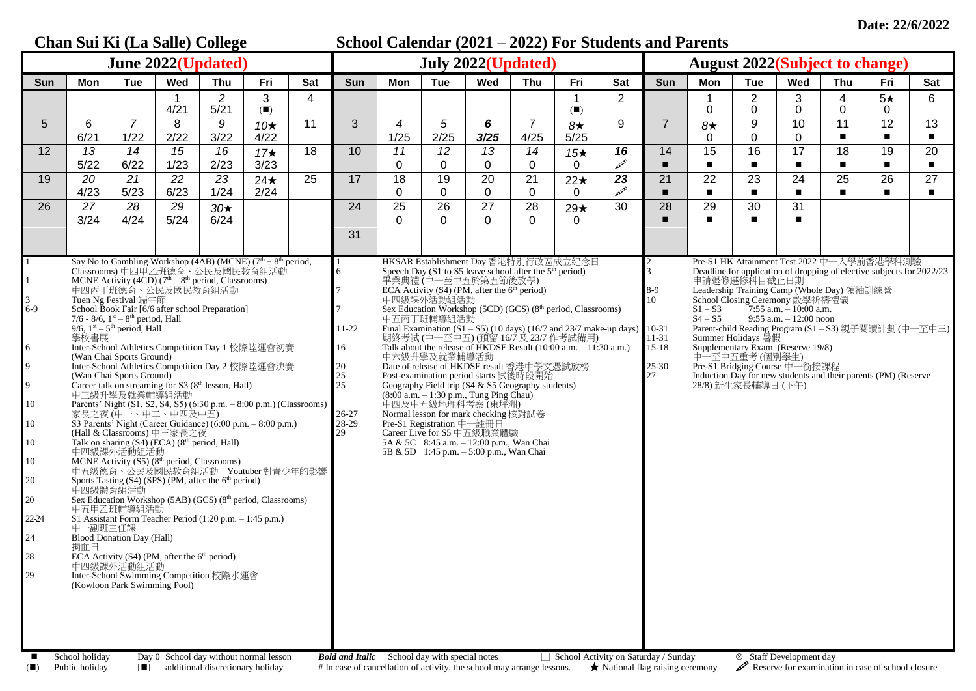## **Chan Sui Ki (La Salle) College School Calendar (2021 – 2022) For Students and Parents June 2022(Updated) July 2022(Updated) August 2022(Subject to change)** Sun | Mon | Tue | Wed | Thu | Fri | Sat | Sun | Mon | Tue | Wed | Thu | Fri | Sat | Sun | Mon | Tue | Wed | Thu | Fri | Sat 1 | 2 | 3 | 4 **|** | | | | | | | | | 1 | 2 | | 1 | 2 | 3 | 4 | 5★ | 6 4/21 5/21 (◼) (◼) 0 0 0 0 0 5 6 *7* 8 *9 10*★ 11 3 *4 5 6* 7 *8*★ 9 7 *8*★ *9* 10 11 12 13 6/21 | 1/22 | 2/22 | 3/22 | 4/22 | | | 1/25 | 2/25 | **3/25** | 4/25 | 5/25 | | | | 0 | 0 | 0 | ■ | ■ | ■ 12 *13 14 15 16 17*★ 18 10 *11 12 13 14 15*★ *16* 14 15 16 17 18 19 20 5/22 6/22 1/23 2/23 3/23 0 0 0 0 0 ◼ ◼ ◼ ◼ ◼ ◼ ◼ 19 *20 21 22 23* 24★ 25 17 18 19 20 21 22★ *23* 21 22 23 24 25 26 27 4/23 5/23 6/23 1/24 2/24 0 0 0 0 0 ◼ ◼ ◼ ◼ ◼ ◼ ◼ 26 *27 28 29 30*★ 24 25 26 27 28 29★ 30 28 29 30 31 3/24 4/24 5/24 6/24 0 0 0 0 0 ◼ ◼ ◼ ◼ 31 1 1 3 6-9 6 9  $\alpha$ 10 10 10 10 20 20 22-24 24 28 29 Say No to Gambling Workshop (4AB) (MCNE) ( $7<sup>th</sup> - 8<sup>th</sup>$  period, Classrooms) 中四甲乙班德育、公民及國民教育組活動<br>MCNE Activity (4CD) (7<sup>th</sup> – 8<sup>th</sup> period, Classrooms) 中四丙丁班德育、公民及國民教育組活動 Tuen Ng Festival 端午節 School Book Fair [6/6 after school Preparation] 7/6 - 8/6,  $1<sup>st</sup> - 8<sup>th</sup>$  period, Hall 9/6,  $1<sup>st</sup> - 5<sup>th</sup>$  period, Hall 學校書展 Inter-School Athletics Competition Day 1 校際陸運會初賽 (Wan Chai Sports Ground) Inter-School Athletics Competition Day 2 校際陸運會決賽 (Wan Chai Sports Ground) Career talk on streaming for  $S3$  ( $8<sup>th</sup>$  lesson, Hall) 中三級升學及就業輔導組活動 Parents' Night (S1, S2, S4, S5) (6:30 p.m. – 8:00 p.m.) (Classrooms) 家長之夜 (中一、中二、中四及中五) S3 Parents' Night (Career Guidance) (6:00 p.m. – 8:00 p.m.) (Hall & Classrooms) 中三家長之夜 Talk on sharing  $(S4)$  (ECA)  $(8<sup>th</sup>$  period, Hall) 中四級課外活動組活動 MCNE Activity  $(S5)$  ( $8<sup>th</sup>$  period, Classrooms) 中五級德育、公民及國民教育組活動 – Youtuber 對青少年的影響 Sports Tasting  $(S4)$  (SPS) (PM, after the  $6<sup>th</sup>$  period) 中四級體育組活動 Sex Education Workshop  $(5AB)$  (GCS)  $(8<sup>th</sup>$  period, Classrooms) 中五甲乙班輔導組活動 S1 Assistant Form Teacher Period (1:20 p.m. – 1:45 p.m.) 中一副班主任課 Blood Donation Day (Hall) 捐血日 ECA Activity (S4) (PM, after the  $6<sup>th</sup>$  period) 中四級課外活動組活動 Inter-School Swimming Competition 校際水運會 (Kowloon Park Swimming Pool) 1 6 7 7 11-22 16 20 25 25 26-27  $28-29$ 29 HKSAR Establishment Day 香港特別行政區成立紀念日 Speech Day (S1 to S5 leave school after the  $5<sup>th</sup>$  period) 畢業典禮 (中一至中五於第五節後放學) ECA Activity  $(S_4)$  (PM, after the  $6<sup>th</sup>$  period) 中四級課外活動組活動 Sex Education Workshop (5CD) (GCS)  $(8<sup>th</sup>$  period, Classrooms) 中五丙丁班輔導組活動 Final Examination  $(S1 - S5)$  (10 days) (16/7 and 23/7 make-up days) 期終考試 (中一至中五) (預留 16/7 及 23/7 作考試備用) Talk about the release of HKDSE Result (10:00 a.m. – 11:30 a.m.) 中六級升學及就業輔導活動 Date of release of HKDSE result 香港中學文憑試放榜 Post-examination period starts 試後時段開始 Geography Field trip (S4 & S5 Geography students)  $(8:00 a.m. - 1:30 p.m., Tung Ping Chau)$ 中四及中五級地理科考察 (東坪洲) Normal lesson for mark checking 核對試卷 Pre-S1 Registration 中一註冊日 Career Live for S5 中五級職業體驗 5A & 5C  $8.45$  a.m.  $-12.00$  p.m., Wan Chai 5B & 5D 1:45 p.m. – 5:00 p.m., Wan Chai 2 3 8-9 10 10-31 11-31 15-18 25-30 27 Pre-S1 HK Attainment Test 2022 中一入學前香港學科測驗 Deadline for application of dropping of elective subjects for 2022/23 申請退修選修科目截止日期 Leadership Training Camp (Whole Day) 領袖訓練營 School Closing Ceremony 散學祈禱禮儀<br>S1-S3 7:55 a.m. - 10:00 a.m.  $S1 - S3$  7:55 a.m. – 10:00 a.m.<br>  $S4 - S5$  9:55 a.m. – 12:00 noon  $9:55$  a.m.  $-12:00$  noon Parent-child Reading Program (S1 – S3) 親子閱讀計劃 (中一至中三) Summer Holidays 暑假 Supplementary Exam. (Reserve 19/8) 中一至中五重考 (個別學生) Pre-S1 Bridging Course 中一銜接課程 Induction Day for new students and their parents (PM) (Reserve 28/8) 新生家長輔導日 (下午) Public holiday Day 0 School day without normal lesson *Bold and Italic* School day with special notes □ School Activity on Saturday / Sunday 8 Staff Development day<br>Public holiday [■] additional discretionary holiday # In